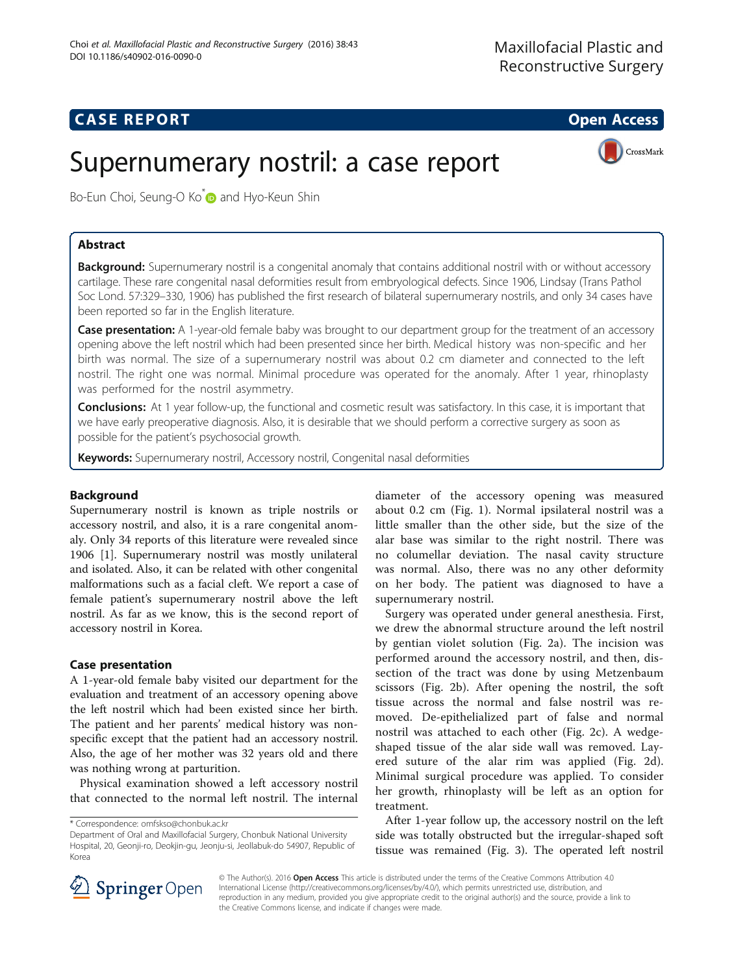## **CASE REPORT And SERVICE SERVICE SERVICE SERVICE SERVICE SERVICE SERVICE SERVICE SERVICE SERVICE SERVICE SERVICE**

# Supernumerary nostril: a case report



Bo-Eun Choi, Seung-O Ko<sup>\*</sup> and Hyo-Keun Shin

## Abstract

Background: Supernumerary nostril is a congenital anomaly that contains additional nostril with or without accessory cartilage. These rare congenital nasal deformities result from embryological defects. Since 1906, Lindsay (Trans Pathol Soc Lond. 57:329–330, 1906) has published the first research of bilateral supernumerary nostrils, and only 34 cases have been reported so far in the English literature.

**Case presentation:** A 1-year-old female baby was brought to our department group for the treatment of an accessory opening above the left nostril which had been presented since her birth. Medical history was non-specific and her birth was normal. The size of a supernumerary nostril was about 0.2 cm diameter and connected to the left nostril. The right one was normal. Minimal procedure was operated for the anomaly. After 1 year, rhinoplasty was performed for the nostril asymmetry.

Conclusions: At 1 year follow-up, the functional and cosmetic result was satisfactory. In this case, it is important that we have early preoperative diagnosis. Also, it is desirable that we should perform a corrective surgery as soon as possible for the patient's psychosocial growth.

Keywords: Supernumerary nostril, Accessory nostril, Congenital nasal deformities

## Background

Supernumerary nostril is known as triple nostrils or accessory nostril, and also, it is a rare congenital anomaly. Only 34 reports of this literature were revealed since 1906 [[1\]](#page-3-0). Supernumerary nostril was mostly unilateral and isolated. Also, it can be related with other congenital malformations such as a facial cleft. We report a case of female patient's supernumerary nostril above the left nostril. As far as we know, this is the second report of accessory nostril in Korea.

### Case presentation

A 1-year-old female baby visited our department for the evaluation and treatment of an accessory opening above the left nostril which had been existed since her birth. The patient and her parents' medical history was nonspecific except that the patient had an accessory nostril. Also, the age of her mother was 32 years old and there was nothing wrong at parturition.

Physical examination showed a left accessory nostril that connected to the normal left nostril. The internal

diameter of the accessory opening was measured about 0.2 cm (Fig. [1](#page-1-0)). Normal ipsilateral nostril was a little smaller than the other side, but the size of the alar base was similar to the right nostril. There was no columellar deviation. The nasal cavity structure was normal. Also, there was no any other deformity on her body. The patient was diagnosed to have a supernumerary nostril.

Surgery was operated under general anesthesia. First, we drew the abnormal structure around the left nostril by gentian violet solution (Fig. [2a](#page-1-0)). The incision was performed around the accessory nostril, and then, dissection of the tract was done by using Metzenbaum scissors (Fig. [2b](#page-1-0)). After opening the nostril, the soft tissue across the normal and false nostril was removed. De-epithelialized part of false and normal nostril was attached to each other (Fig. [2c](#page-1-0)). A wedgeshaped tissue of the alar side wall was removed. Layered suture of the alar rim was applied (Fig. [2d](#page-1-0)). Minimal surgical procedure was applied. To consider her growth, rhinoplasty will be left as an option for treatment.

After 1-year follow up, the accessory nostril on the left side was totally obstructed but the irregular-shaped soft tissue was remained (Fig. [3\)](#page-2-0). The operated left nostril



© The Author(s). 2016 Open Access This article is distributed under the terms of the Creative Commons Attribution 4.0 International License ([http://creativecommons.org/licenses/by/4.0/\)](http://creativecommons.org/licenses/by/4.0/), which permits unrestricted use, distribution, and reproduction in any medium, provided you give appropriate credit to the original author(s) and the source, provide a link to the Creative Commons license, and indicate if changes were made.

<sup>\*</sup> Correspondence: [omfskso@chonbuk.ac.kr](mailto:omfskso@chonbuk.ac.kr)

Department of Oral and Maxillofacial Surgery, Chonbuk National University Hospital, 20, Geonji-ro, Deokjin-gu, Jeonju-si, Jeollabuk-do 54907, Republic of Korea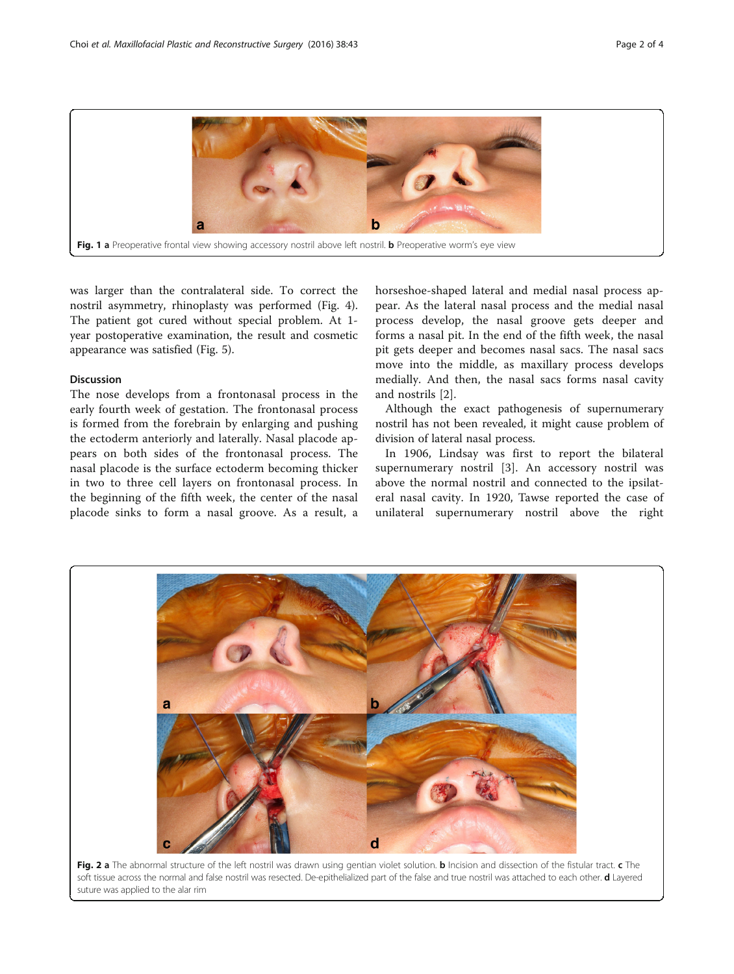<span id="page-1-0"></span>

was larger than the contralateral side. To correct the nostril asymmetry, rhinoplasty was performed (Fig. [4](#page-2-0)). The patient got cured without special problem. At 1 year postoperative examination, the result and cosmetic appearance was satisfied (Fig. [5\)](#page-3-0).

#### Discussion

The nose develops from a frontonasal process in the early fourth week of gestation. The frontonasal process is formed from the forebrain by enlarging and pushing the ectoderm anteriorly and laterally. Nasal placode appears on both sides of the frontonasal process. The nasal placode is the surface ectoderm becoming thicker in two to three cell layers on frontonasal process. In the beginning of the fifth week, the center of the nasal placode sinks to form a nasal groove. As a result, a

horseshoe-shaped lateral and medial nasal process appear. As the lateral nasal process and the medial nasal process develop, the nasal groove gets deeper and forms a nasal pit. In the end of the fifth week, the nasal pit gets deeper and becomes nasal sacs. The nasal sacs move into the middle, as maxillary process develops medially. And then, the nasal sacs forms nasal cavity and nostrils [[2\]](#page-3-0).

Although the exact pathogenesis of supernumerary nostril has not been revealed, it might cause problem of division of lateral nasal process.

In 1906, Lindsay was first to report the bilateral supernumerary nostril [[3](#page-3-0)]. An accessory nostril was above the normal nostril and connected to the ipsilateral nasal cavity. In 1920, Tawse reported the case of unilateral supernumerary nostril above the right



Fig. 2 a The abnormal structure of the left nostril was drawn using gentian violet solution. b Incision and dissection of the fistular tract. c The soft tissue across the normal and false nostril was resected. De-epithelialized part of the false and true nostril was attached to each other. d Layered suture was applied to the alar rim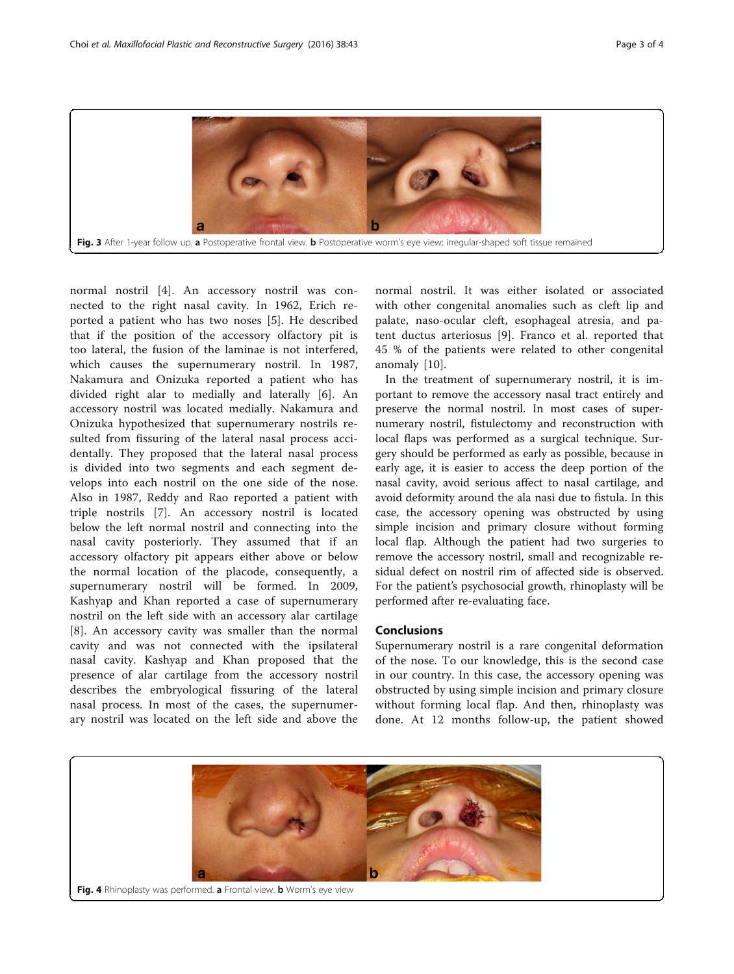<span id="page-2-0"></span>

normal nostril [\[4](#page-3-0)]. An accessory nostril was connected to the right nasal cavity. In 1962, Erich reported a patient who has two noses [[5\]](#page-3-0). He described that if the position of the accessory olfactory pit is too lateral, the fusion of the laminae is not interfered, which causes the supernumerary nostril. In 1987, Nakamura and Onizuka reported a patient who has divided right alar to medially and laterally [\[6](#page-3-0)]. An accessory nostril was located medially. Nakamura and Onizuka hypothesized that supernumerary nostrils resulted from fissuring of the lateral nasal process accidentally. They proposed that the lateral nasal process is divided into two segments and each segment develops into each nostril on the one side of the nose. Also in 1987, Reddy and Rao reported a patient with triple nostrils [[7\]](#page-3-0). An accessory nostril is located below the left normal nostril and connecting into the nasal cavity posteriorly. They assumed that if an accessory olfactory pit appears either above or below the normal location of the placode, consequently, a supernumerary nostril will be formed. In 2009, Kashyap and Khan reported a case of supernumerary nostril on the left side with an accessory alar cartilage [[8\]](#page-3-0). An accessory cavity was smaller than the normal cavity and was not connected with the ipsilateral nasal cavity. Kashyap and Khan proposed that the presence of alar cartilage from the accessory nostril describes the embryological fissuring of the lateral nasal process. In most of the cases, the supernumerary nostril was located on the left side and above the

normal nostril. It was either isolated or associated with other congenital anomalies such as cleft lip and palate, naso-ocular cleft, esophageal atresia, and patent ductus arteriosus [[9\]](#page-3-0). Franco et al. reported that 45 % of the patients were related to other congenital anomaly [[10\]](#page-3-0).

In the treatment of supernumerary nostril, it is important to remove the accessory nasal tract entirely and preserve the normal nostril. In most cases of supernumerary nostril, fistulectomy and reconstruction with local flaps was performed as a surgical technique. Surgery should be performed as early as possible, because in early age, it is easier to access the deep portion of the nasal cavity, avoid serious affect to nasal cartilage, and avoid deformity around the ala nasi due to fistula. In this case, the accessory opening was obstructed by using simple incision and primary closure without forming local flap. Although the patient had two surgeries to remove the accessory nostril, small and recognizable residual defect on nostril rim of affected side is observed. For the patient's psychosocial growth, rhinoplasty will be performed after re-evaluating face.

## Conclusions

Supernumerary nostril is a rare congenital deformation of the nose. To our knowledge, this is the second case in our country. In this case, the accessory opening was obstructed by using simple incision and primary closure without forming local flap. And then, rhinoplasty was done. At 12 months follow-up, the patient showed